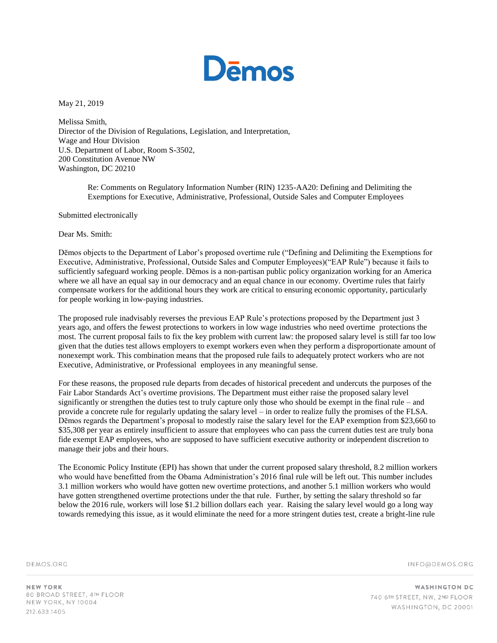

May 21, 2019

Melissa Smith, Director of the Division of Regulations, Legislation, and Interpretation, Wage and Hour Division U.S. Department of Labor, Room S-3502, 200 Constitution Avenue NW Washington, DC 20210

> Re: Comments on Regulatory Information Number (RIN) 1235-AA20: Defining and Delimiting the Exemptions for Executive, Administrative, Professional, Outside Sales and Computer Employees

Submitted electronically

Dear Ms. Smith:

Dēmos objects to the Department of Labor's proposed overtime rule ("Defining and Delimiting the Exemptions for Executive, Administrative, Professional, Outside Sales and Computer Employees)("EAP Rule") because it fails to sufficiently safeguard working people. Dēmos is a non-partisan public policy organization working for an America where we all have an equal say in our democracy and an equal chance in our economy. Overtime rules that fairly compensate workers for the additional hours they work are critical to ensuring economic opportunity, particularly for people working in low-paying industries.

The proposed rule inadvisably reverses the previous EAP Rule's protections proposed by the Department just 3 years ago, and offers the fewest protections to workers in low wage industries who need overtime protections the most. The current proposal fails to fix the key problem with current law: the proposed salary level is still far too low given that the duties test allows employers to exempt workers even when they perform a disproportionate amount of nonexempt work. This combination means that the proposed rule fails to adequately protect workers who are not Executive, Administrative, or Professional employees in any meaningful sense.

For these reasons, the proposed rule departs from decades of historical precedent and undercuts the purposes of the Fair Labor Standards Act's overtime provisions. The Department must either raise the proposed salary level significantly or strengthen the duties test to truly capture only those who should be exempt in the final rule – and provide a concrete rule for regularly updating the salary level – in order to realize fully the promises of the FLSA. Dēmos regards the Department's proposal to modestly raise the salary level for the EAP exemption from \$23,660 to \$35,308 per year as entirely insufficient to assure that employees who can pass the current duties test are truly bona fide exempt EAP employees, who are supposed to have sufficient executive authority or independent discretion to manage their jobs and their hours.

The Economic Policy Institute (EPI) has shown that under the current proposed salary threshold, 8.2 million workers who would have benefitted from the Obama Administration's 2016 final rule will be left out. This number includes 3.1 million workers who would have gotten new overtime protections, and another 5.1 million workers who would have gotten strengthened overtime protections under the that rule. Further, by setting the salary threshold so far below the 2016 rule, workers will lose \$1.2 billion dollars each year. Raising the salary level would go a long way towards remedying this issue, as it would eliminate the need for a more stringent duties test, create a bright-line rule

DEMOS.ORG

INFO@DEMOS.ORG

**NEW YORK** 80 BROAD STREET, 4TH FLOOR NEW YORK, NY 10004 212.633.1405

**WASHINGTON DC** 740 6TH STREET, NW, 2ND FLOOR WASHINGTON, DC 20001